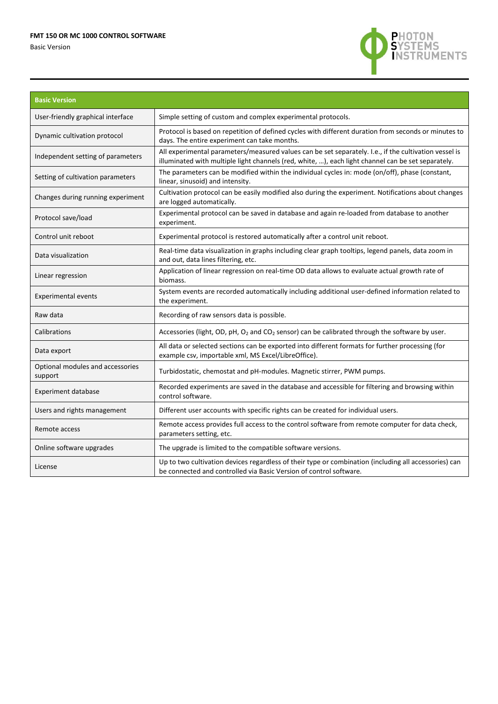## **FMT 150 OR MC 1000 CONTROL SOFTWARE**

Basic Version



| <b>Basic Version</b>                        |                                                                                                                                                                                                             |
|---------------------------------------------|-------------------------------------------------------------------------------------------------------------------------------------------------------------------------------------------------------------|
| User-friendly graphical interface           | Simple setting of custom and complex experimental protocols.                                                                                                                                                |
| Dynamic cultivation protocol                | Protocol is based on repetition of defined cycles with different duration from seconds or minutes to<br>days. The entire experiment can take months.                                                        |
| Independent setting of parameters           | All experimental parameters/measured values can be set separately. I.e., if the cultivation vessel is<br>illuminated with multiple light channels (red, white, ), each light channel can be set separately. |
| Setting of cultivation parameters           | The parameters can be modified within the individual cycles in: mode (on/off), phase (constant,<br>linear, sinusoid) and intensity.                                                                         |
| Changes during running experiment           | Cultivation protocol can be easily modified also during the experiment. Notifications about changes<br>are logged automatically.                                                                            |
| Protocol save/load                          | Experimental protocol can be saved in database and again re-loaded from database to another<br>experiment.                                                                                                  |
| Control unit reboot                         | Experimental protocol is restored automatically after a control unit reboot.                                                                                                                                |
| Data visualization                          | Real-time data visualization in graphs including clear graph tooltips, legend panels, data zoom in<br>and out, data lines filtering, etc.                                                                   |
| Linear regression                           | Application of linear regression on real-time OD data allows to evaluate actual growth rate of<br>biomass.                                                                                                  |
| <b>Experimental events</b>                  | System events are recorded automatically including additional user-defined information related to<br>the experiment.                                                                                        |
| Raw data                                    | Recording of raw sensors data is possible.                                                                                                                                                                  |
| Calibrations                                | Accessories (light, OD, pH, O <sub>2</sub> and CO <sub>2</sub> sensor) can be calibrated through the software by user.                                                                                      |
| Data export                                 | All data or selected sections can be exported into different formats for further processing (for<br>example csv, importable xml, MS Excel/LibreOffice).                                                     |
| Optional modules and accessories<br>support | Turbidostatic, chemostat and pH-modules. Magnetic stirrer, PWM pumps.                                                                                                                                       |
| <b>Experiment database</b>                  | Recorded experiments are saved in the database and accessible for filtering and browsing within<br>control software.                                                                                        |
| Users and rights management                 | Different user accounts with specific rights can be created for individual users.                                                                                                                           |
| Remote access                               | Remote access provides full access to the control software from remote computer for data check,<br>parameters setting, etc.                                                                                 |
| Online software upgrades                    | The upgrade is limited to the compatible software versions.                                                                                                                                                 |
| License                                     | Up to two cultivation devices regardless of their type or combination (including all accessories) can<br>be connected and controlled via Basic Version of control software.                                 |